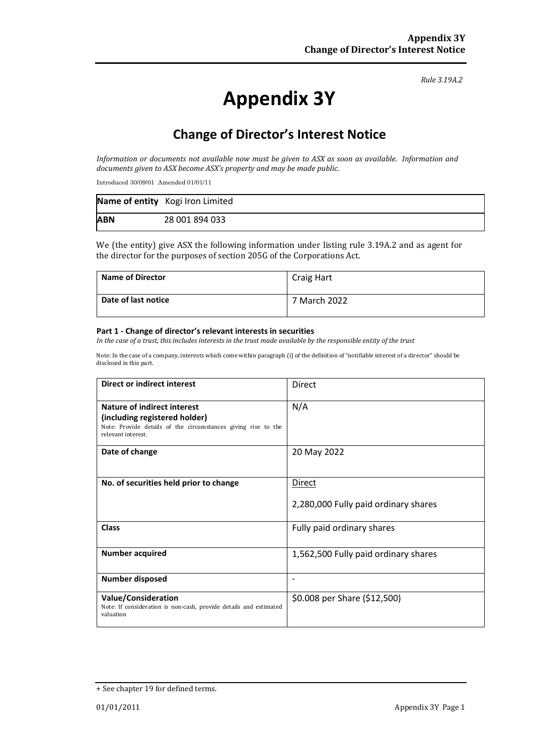*Rule 3.19A.2*

# **Appendix 3Y**

## **Change of Director's Interest Notice**

*Information or documents not available now must be given to ASX as soon as available. Information and documents given to ASX become ASX's property and may be made public.* 

Introduced 30/09/01 Amended 01/01/11

|            | Name of entity Kogi Iron Limited |
|------------|----------------------------------|
| <b>ABN</b> | 28 001 894 033                   |

We (the entity) give ASX the following information under listing rule 3.19A.2 and as agent for the director for the purposes of section 205G of the Corporations Act.

| <b>Name of Director</b> | Craig Hart   |
|-------------------------|--------------|
| Date of last notice     | 7 March 2022 |

#### **Part 1 - Change of director's relevant interests in securities**

*In the case of a trust, this includes interests in the trust made available by the responsible entity of the trust* 

Note: In the case of a company, interests which come within paragraph (i) of the definition of "notifiable interest of a director" should be disclosed in this part.

| Direct or indirect interest                                                                                                                                | <b>Direct</b>                                  |
|------------------------------------------------------------------------------------------------------------------------------------------------------------|------------------------------------------------|
| <b>Nature of indirect interest</b><br>(including registered holder)<br>Note: Provide details of the circumstances giving rise to the<br>relevant interest. | N/A                                            |
| Date of change                                                                                                                                             | 20 May 2022                                    |
| No. of securities held prior to change                                                                                                                     | Direct<br>2,280,000 Fully paid ordinary shares |
| <b>Class</b>                                                                                                                                               | Fully paid ordinary shares                     |
| <b>Number acquired</b>                                                                                                                                     | 1,562,500 Fully paid ordinary shares           |
| <b>Number disposed</b>                                                                                                                                     | $\overline{\phantom{0}}$                       |
| <b>Value/Consideration</b><br>Note: If consideration is non-cash, provide details and estimated<br>valuation                                               | \$0.008 per Share (\$12,500)                   |

<sup>+</sup> See chapter 19 for defined terms.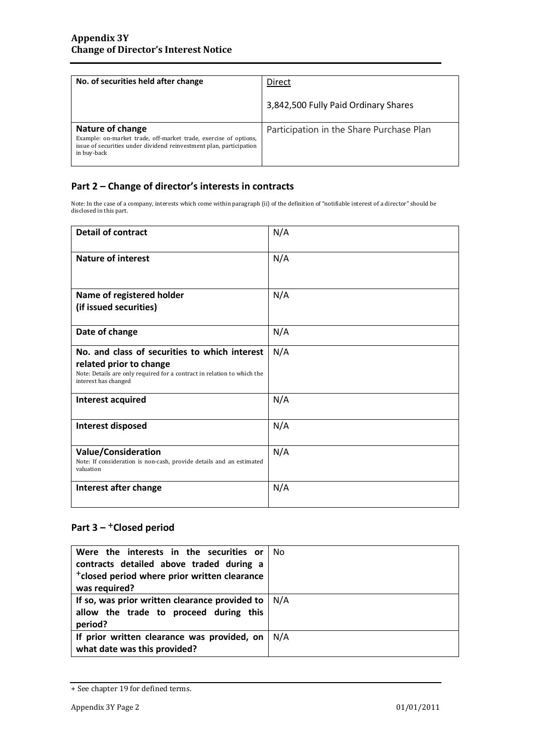| No. of securities held after change                                                                                                                                        | Direct                                   |
|----------------------------------------------------------------------------------------------------------------------------------------------------------------------------|------------------------------------------|
|                                                                                                                                                                            | 3,842,500 Fully Paid Ordinary Shares     |
| Nature of change<br>Example: on-market trade, off-market trade, exercise of options,<br>issue of securities under dividend reinvestment plan, participation<br>in buy-back | Participation in the Share Purchase Plan |

### **Part 2 – Change of director's interests in contracts**

Note: In the case of a company, interests which come within paragraph (ii) of the definition of "notifiable interest of a director" should be disclosed in this part.

| <b>Detail of contract</b>                                                                                                                                                   | N/A |
|-----------------------------------------------------------------------------------------------------------------------------------------------------------------------------|-----|
| <b>Nature of interest</b>                                                                                                                                                   | N/A |
| Name of registered holder<br>(if issued securities)                                                                                                                         | N/A |
| Date of change                                                                                                                                                              | N/A |
| No. and class of securities to which interest<br>related prior to change<br>Note: Details are only required for a contract in relation to which the<br>interest has changed | N/A |
| Interest acquired                                                                                                                                                           | N/A |
| Interest disposed                                                                                                                                                           | N/A |
| <b>Value/Consideration</b><br>Note: If consideration is non-cash, provide details and an estimated<br>valuation                                                             | N/A |
| Interest after change                                                                                                                                                       | N/A |

## Part 3 – <sup>+</sup>Closed period

| Were the interests in the securities or<br>contracts detailed above traded during a<br><sup>+</sup> closed period where prior written clearance<br>was required? | No. |
|------------------------------------------------------------------------------------------------------------------------------------------------------------------|-----|
| If so, was prior written clearance provided to<br>allow the trade to proceed during this<br>period?                                                              | N/A |
| If prior written clearance was provided, on<br>what date was this provided?                                                                                      | N/A |

<sup>+</sup> See chapter 19 for defined terms.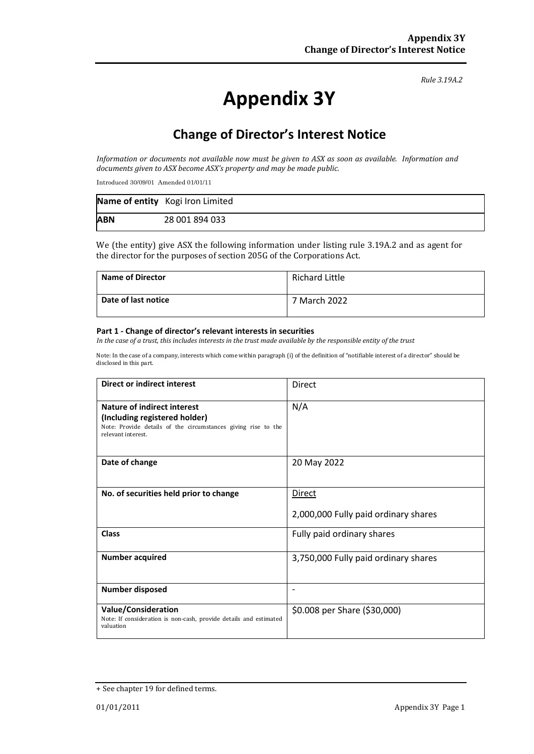*Rule 3.19A.2*

# **Appendix 3Y**

## **Change of Director's Interest Notice**

*Information or documents not available now must be given to ASX as soon as available. Information and documents given to ASX become ASX's property and may be made public.* 

Introduced 30/09/01 Amended 01/01/11

|            | Name of entity Kogi Iron Limited |
|------------|----------------------------------|
| <b>ABN</b> | 28 001 894 033                   |

We (the entity) give ASX the following information under listing rule 3.19A.2 and as agent for the director for the purposes of section 205G of the Corporations Act.

| <b>Name of Director</b> | <b>Richard Little</b> |
|-------------------------|-----------------------|
| Date of last notice     | 7 March 2022          |

#### **Part 1 - Change of director's relevant interests in securities**

*In the case of a trust, this includes interests in the trust made available by the responsible entity of the trust* 

Note: In the case of a company, interests which come within paragraph (i) of the definition of "notifiable interest of a director" should be disclosed in this part.

| Direct or indirect interest                                                                                                                         | <b>Direct</b>                                         |
|-----------------------------------------------------------------------------------------------------------------------------------------------------|-------------------------------------------------------|
| Nature of indirect interest<br>(Including registered holder)<br>Note: Provide details of the circumstances giving rise to the<br>relevant interest. | N/A                                                   |
| Date of change                                                                                                                                      | 20 May 2022                                           |
| No. of securities held prior to change                                                                                                              | <b>Direct</b><br>2,000,000 Fully paid ordinary shares |
| <b>Class</b>                                                                                                                                        | Fully paid ordinary shares                            |
| <b>Number acquired</b>                                                                                                                              | 3,750,000 Fully paid ordinary shares                  |
| <b>Number disposed</b>                                                                                                                              |                                                       |
| <b>Value/Consideration</b><br>Note: If consideration is non-cash, provide details and estimated<br>valuation                                        | \$0.008 per Share (\$30,000)                          |

<sup>+</sup> See chapter 19 for defined terms.